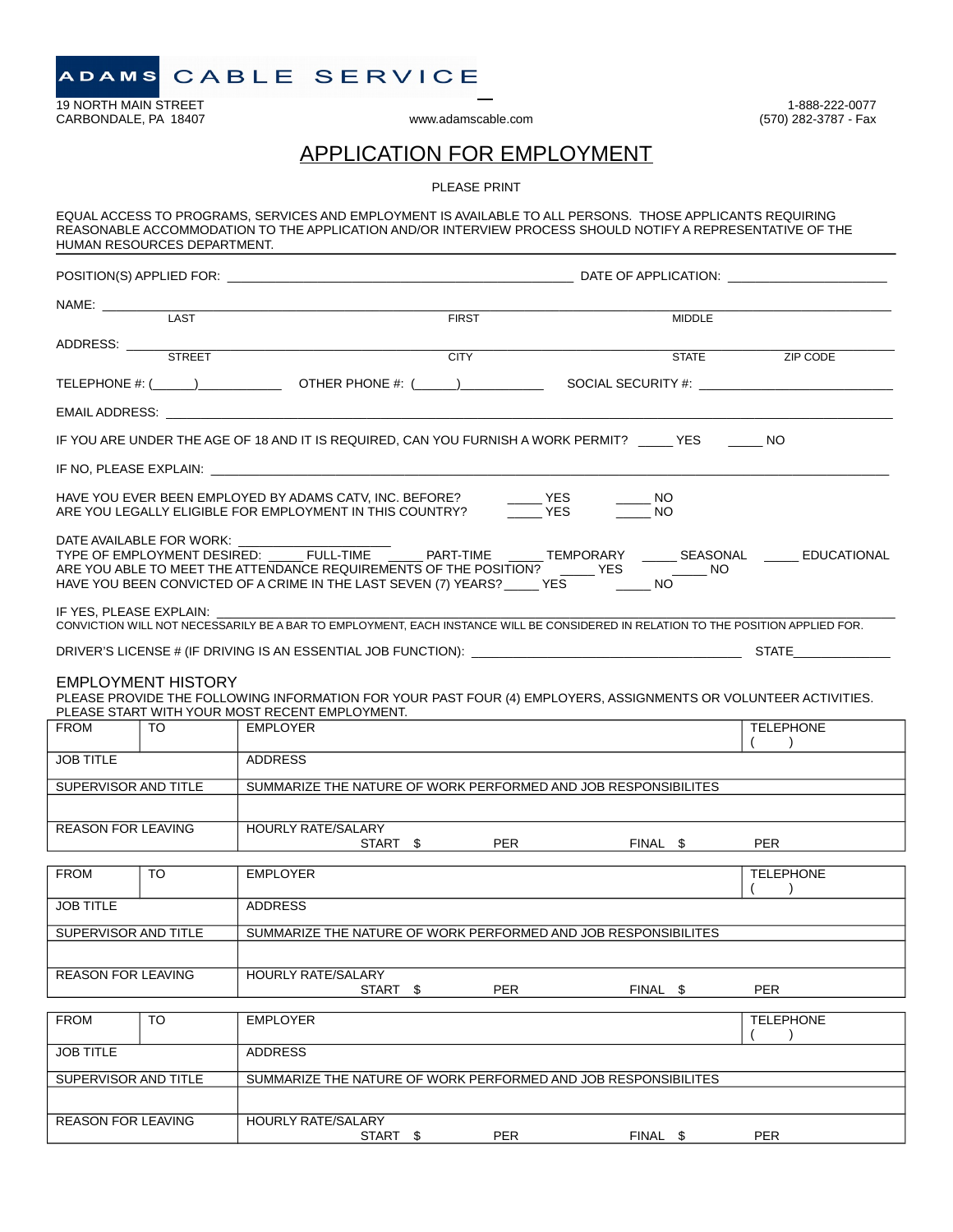19 NORTH MAIN STREET 1.688-222-0077<br>CARBONDALE, PA 18407 1.688-222-0077<br>CARBONDALE, PA 18407 1.688-222-0077 CARBONDALE, PA 18407

# APPLICATION FOR EMPLOYMENT

PLEASE PRINT

|                           | HUMAN RESOURCES DEPARTMENT. | EQUAL ACCESS TO PROGRAMS, SERVICES AND EMPLOYMENT IS AVAILABLE TO ALL PERSONS. THOSE APPLICANTS REQUIRING<br>REASONABLE ACCOMMODATION TO THE APPLICATION AND/OR INTERVIEW PROCESS SHOULD NOTIFY A REPRESENTATIVE OF THE |              |     |                     |                  |                                                                                                                     |
|---------------------------|-----------------------------|-------------------------------------------------------------------------------------------------------------------------------------------------------------------------------------------------------------------------|--------------|-----|---------------------|------------------|---------------------------------------------------------------------------------------------------------------------|
|                           |                             |                                                                                                                                                                                                                         |              |     |                     |                  |                                                                                                                     |
| NAME: LAST                |                             | <u> 1989 - Johann Barn, mars ar breithinn ar breithinn ar breithinn ar breithinn ar breithinn ar breithinn ar br</u>                                                                                                    |              |     |                     |                  |                                                                                                                     |
|                           |                             |                                                                                                                                                                                                                         | <b>FIRST</b> |     |                     | <b>MIDDLE</b>    |                                                                                                                     |
| ADDRESS:                  |                             | <b>STREET</b>                                                                                                                                                                                                           | <b>CITY</b>  |     |                     | <b>STATE</b>     |                                                                                                                     |
|                           |                             |                                                                                                                                                                                                                         |              |     |                     |                  | ZIP CODE                                                                                                            |
|                           |                             |                                                                                                                                                                                                                         |              |     |                     |                  |                                                                                                                     |
|                           |                             |                                                                                                                                                                                                                         |              |     |                     |                  |                                                                                                                     |
|                           |                             | IF YOU ARE UNDER THE AGE OF 18 AND IT IS REQUIRED, CAN YOU FURNISH A WORK PERMIT? YES NO                                                                                                                                |              |     |                     |                  |                                                                                                                     |
|                           |                             |                                                                                                                                                                                                                         |              |     |                     |                  |                                                                                                                     |
|                           |                             | HAVE YOU EVER BEEN EMPLOYED BY ADAMS CATV, INC. BEFORE?<br>ARE YOU LEGALLY ELIGIBLE FOR EMPLOYMENT IN THIS COUNTRY?                                                                                                     |              |     | $-\frac{YES}{vers}$ | NO.<br><b>NO</b> |                                                                                                                     |
|                           | DATE AVAILABLE FOR WORK:    |                                                                                                                                                                                                                         |              |     |                     |                  | TYPE OF EMPLOYMENT DESIRED: ______FULL-TIME ________ PART-TIME ______ TEMPORARY _______ SEASONAL ______ EDUCATIONAL |
| IF YES, PLEASE EXPLAIN:   |                             | CONVICTION WILL NOT NECESSARILY BE A BAR TO EMPLOYMENT, EACH INSTANCE WILL BE CONSIDERED IN RELATION TO THE POSITION APPLIED FOR.                                                                                       |              |     |                     |                  |                                                                                                                     |
|                           |                             |                                                                                                                                                                                                                         |              |     |                     |                  |                                                                                                                     |
|                           | <b>EMPLOYMENT HISTORY</b>   | PLEASE PROVIDE THE FOLLOWING INFORMATION FOR YOUR PAST FOUR (4) EMPLOYERS, ASSIGNMENTS OR VOLUNTEER ACTIVITIES.<br>PLEASE START WITH YOUR MOST RECENT EMPLOYMENT.                                                       |              |     |                     |                  |                                                                                                                     |
| <b>FROM</b>               | TO.                         | <b>EMPLOYER</b>                                                                                                                                                                                                         |              |     |                     |                  | <b>TELEPHONE</b><br>$\rightarrow$                                                                                   |
| <b>JOB TITLE</b>          |                             | <b>ADDRESS</b>                                                                                                                                                                                                          |              |     |                     |                  |                                                                                                                     |
| SUPERVISOR AND TITLE      |                             | SUMMARIZE THE NATURE OF WORK PERFORMED AND JOB RESPONSIBILITES                                                                                                                                                          |              |     |                     |                  |                                                                                                                     |
|                           |                             |                                                                                                                                                                                                                         |              |     |                     |                  |                                                                                                                     |
| <b>REASON FOR LEAVING</b> |                             | <b>HOURLY RATE/SALARY</b>                                                                                                                                                                                               | START \$     | PER |                     | FINAL \$         | PER                                                                                                                 |
|                           |                             |                                                                                                                                                                                                                         |              |     |                     |                  |                                                                                                                     |
| <b>FROM</b>               | TO                          | <b>EMPLOYER</b>                                                                                                                                                                                                         |              |     |                     |                  | <b>TELEPHONE</b><br>(                                                                                               |
| JOB TITLE                 |                             | <b>ADDRESS</b>                                                                                                                                                                                                          |              |     |                     |                  |                                                                                                                     |
| SUPERVISOR AND TITLE      |                             | SUMMARIZE THE NATURE OF WORK PERFORMED AND JOB RESPONSIBILITES                                                                                                                                                          |              |     |                     |                  |                                                                                                                     |
|                           |                             |                                                                                                                                                                                                                         |              |     |                     |                  |                                                                                                                     |
| <b>REASON FOR LEAVING</b> |                             | <b>HOURLY RATE/SALARY</b><br>START \$                                                                                                                                                                                   |              | PER |                     | FINAL \$         | PER                                                                                                                 |
| <b>FROM</b>               | TO.                         | <b>EMPLOYER</b>                                                                                                                                                                                                         |              |     |                     |                  | <b>TELEPHONE</b>                                                                                                    |
| <b>JOB TITLE</b>          |                             | <b>ADDRESS</b>                                                                                                                                                                                                          |              |     |                     |                  |                                                                                                                     |
| SUPERVISOR AND TITLE      |                             | SUMMARIZE THE NATURE OF WORK PERFORMED AND JOB RESPONSIBILITES                                                                                                                                                          |              |     |                     |                  |                                                                                                                     |
|                           |                             |                                                                                                                                                                                                                         |              |     |                     |                  |                                                                                                                     |
| <b>REASON FOR LEAVING</b> |                             | <b>HOURLY RATE/SALARY</b><br>START \$                                                                                                                                                                                   |              | PER |                     | FINAL \$         | <b>PER</b>                                                                                                          |
|                           |                             |                                                                                                                                                                                                                         |              |     |                     |                  |                                                                                                                     |